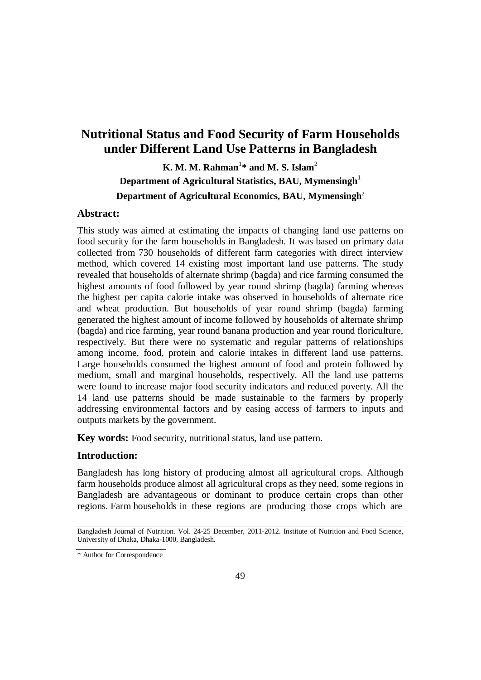# **Nutritional Status and Food Security of Farm Households under Different Land Use Patterns in Bangladesh**

# **K. M. M. Rahman**<sup>1</sup> **\* and M. S. Islam**<sup>2</sup> **Department of Agricultural Statistics, BAU, Mymensingh**<sup>1</sup> **Department of Agricultural Economics, BAU, Mymensingh**<sup>2</sup>

# **Abstract:**

This study was aimed at estimating the impacts of changing land use patterns on food security for the farm households in Bangladesh. It was based on primary data collected from 730 households of different farm categories with direct interview method, which covered 14 existing most important land use patterns. The study revealed that households of alternate shrimp (bagda) and rice farming consumed the highest amounts of food followed by year round shrimp (bagda) farming whereas the highest per capita calorie intake was observed in households of alternate rice and wheat production. But households of year round shrimp (bagda) farming generated the highest amount of income followed by households of alternate shrimp (bagda) and rice farming, year round banana production and year round floriculture, respectively. But there were no systematic and regular patterns of relationships among income, food, protein and calorie intakes in different land use patterns. Large households consumed the highest amount of food and protein followed by medium, small and marginal households, respectively. All the land use patterns were found to increase major food security indicators and reduced poverty. All the 14 land use patterns should be made sustainable to the farmers by properly addressing environmental factors and by easing access of farmers to inputs and outputs markets by the government.

**Key words:** Food security, nutritional status, land use pattern.

# **Introduction:**

Bangladesh has long history of producing almost all agricultural crops. Although farm households produce almost all agricultural crops as they need, some regions in Bangladesh are advantageous or dominant to produce certain crops than other regions. Farm households in these regions are producing those crops which are

Bangladesh Journal of Nutrition. Vol. 24-25 December, 2011-2012. Institute of Nutrition and Food Science, University of Dhaka, Dhaka-1000, Bangladesh.

<sup>\*</sup> Author for Correspondence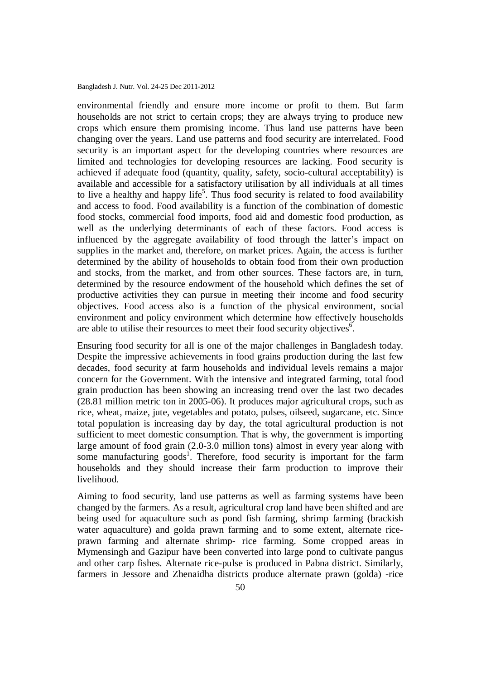environmental friendly and ensure more income or profit to them. But farm households are not strict to certain crops; they are always trying to produce new crops which ensure them promising income. Thus land use patterns have been changing over the years. Land use patterns and food security are interrelated. Food security is an important aspect for the developing countries where resources are limited and technologies for developing resources are lacking. Food security is achieved if adequate food (quantity, quality, safety, socio-cultural acceptability) is available and accessible for a satisfactory utilisation by all individuals at all times to live a healthy and happy life<sup>5</sup>. Thus food security is related to food availability and access to food. Food availability is a function of the combination of domestic food stocks, commercial food imports, food aid and domestic food production, as well as the underlying determinants of each of these factors. Food access is influenced by the aggregate availability of food through the latter's impact on supplies in the market and, therefore, on market prices. Again, the access is further determined by the ability of households to obtain food from their own production and stocks, from the market, and from other sources. These factors are, in turn, determined by the resource endowment of the household which defines the set of productive activities they can pursue in meeting their income and food security objectives. Food access also is a function of the physical environment, social environment and policy environment which determine how effectively households are able to utilise their resources to meet their food security objectives.<sup>6</sup>

Ensuring food security for all is one of the major challenges in Bangladesh today. Despite the impressive achievements in food grains production during the last few decades, food security at farm households and individual levels remains a major concern for the Government. With the intensive and integrated farming, total food grain production has been showing an increasing trend over the last two decades (28.81 million metric ton in 2005-06). It produces major agricultural crops, such as rice, wheat, maize, jute, vegetables and potato, pulses, oilseed, sugarcane, etc. Since total population is increasing day by day, the total agricultural production is not sufficient to meet domestic consumption. That is why, the government is importing large amount of food grain (2.0-3.0 million tons) almost in every year along with some manufacturing goods<sup>1</sup>. Therefore, food security is important for the farm households and they should increase their farm production to improve their livelihood.

Aiming to food security, land use patterns as well as farming systems have been changed by the farmers. As a result, agricultural crop land have been shifted and are being used for aquaculture such as pond fish farming, shrimp farming (brackish water aquaculture) and golda prawn farming and to some extent, alternate riceprawn farming and alternate shrimp- rice farming. Some cropped areas in Mymensingh and Gazipur have been converted into large pond to cultivate pangus and other carp fishes. Alternate rice-pulse is produced in Pabna district. Similarly, farmers in Jessore and Zhenaidha districts produce alternate prawn (golda) -rice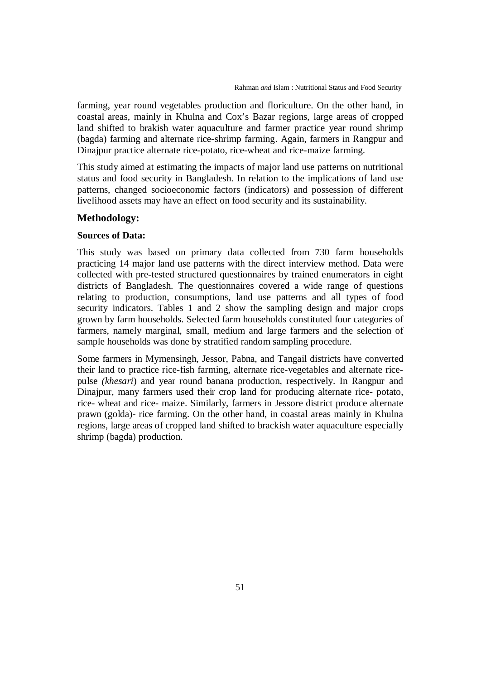farming, year round vegetables production and floriculture. On the other hand, in coastal areas, mainly in Khulna and Cox's Bazar regions, large areas of cropped land shifted to brakish water aquaculture and farmer practice year round shrimp (bagda) farming and alternate rice-shrimp farming. Again, farmers in Rangpur and Dinajpur practice alternate rice-potato, rice-wheat and rice-maize farming.

This study aimed at estimating the impacts of major land use patterns on nutritional status and food security in Bangladesh. In relation to the implications of land use patterns, changed socioeconomic factors (indicators) and possession of different livelihood assets may have an effect on food security and its sustainability.

# **Methodology:**

#### **Sources of Data:**

This study was based on primary data collected from 730 farm households practicing 14 major land use patterns with the direct interview method. Data were collected with pre-tested structured questionnaires by trained enumerators in eight districts of Bangladesh. The questionnaires covered a wide range of questions relating to production, consumptions, land use patterns and all types of food security indicators. Tables 1 and 2 show the sampling design and major crops grown by farm households. Selected farm households constituted four categories of farmers, namely marginal, small, medium and large farmers and the selection of sample households was done by stratified random sampling procedure.

Some farmers in Mymensingh, Jessor, Pabna, and Tangail districts have converted their land to practice rice-fish farming, alternate rice-vegetables and alternate ricepulse *(khesari*) and year round banana production, respectively. In Rangpur and Dinajpur, many farmers used their crop land for producing alternate rice- potato, rice- wheat and rice- maize. Similarly, farmers in Jessore district produce alternate prawn (golda)- rice farming. On the other hand, in coastal areas mainly in Khulna regions, large areas of cropped land shifted to brackish water aquaculture especially shrimp (bagda) production.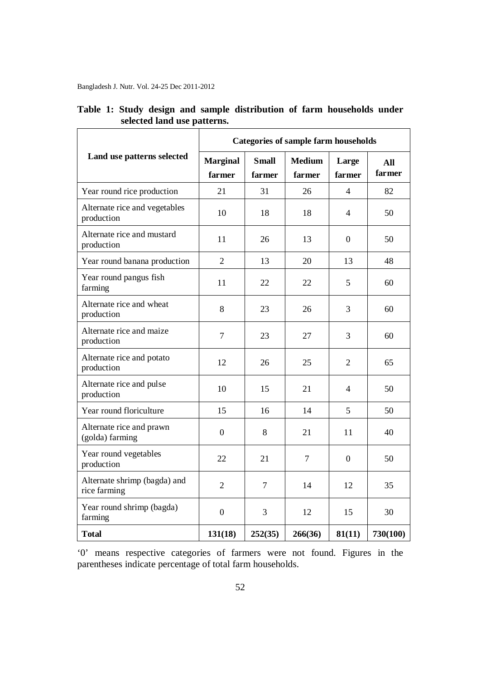|                                              | <b>Categories of sample farm households</b> |                        |                         |                 |               |  |
|----------------------------------------------|---------------------------------------------|------------------------|-------------------------|-----------------|---------------|--|
| Land use patterns selected                   | <b>Marginal</b><br>farmer                   | <b>Small</b><br>farmer | <b>Medium</b><br>farmer | Large<br>farmer | All<br>farmer |  |
| Year round rice production                   | 21                                          | 31                     | 26                      | $\overline{4}$  | 82            |  |
| Alternate rice and vegetables<br>production  | 10                                          | 18                     | 18                      | 4               | 50            |  |
| Alternate rice and mustard<br>production     | 11                                          | 26                     | 13                      | $\Omega$        | 50            |  |
| Year round banana production                 | $\overline{2}$                              | 13                     | 20                      | 13              | 48            |  |
| Year round pangus fish<br>farming            | 11                                          | 22                     | 22                      | 5               | 60            |  |
| Alternate rice and wheat<br>production       | 8                                           | 23                     | 26                      | 3               | 60            |  |
| Alternate rice and maize<br>production       | $\overline{7}$                              | 23                     | 27                      | 3               | 60            |  |
| Alternate rice and potato<br>production      | 12                                          | 26                     | 25                      | $\overline{2}$  | 65            |  |
| Alternate rice and pulse<br>production       | 10                                          | 15                     | 21                      | 4               | 50            |  |
| Year round floriculture                      | 15                                          | 16                     | 14                      | 5               | 50            |  |
| Alternate rice and prawn<br>(golda) farming  | $\boldsymbol{0}$                            | 8                      | 21                      | 11              | 40            |  |
| Year round vegetables<br>production          | 22                                          | 21                     | $\overline{7}$          | $\overline{0}$  | 50            |  |
| Alternate shrimp (bagda) and<br>rice farming | $\overline{2}$                              | $\overline{7}$         | 14                      | 12              | 35            |  |
| Year round shrimp (bagda)<br>farming         | $\boldsymbol{0}$                            | 3                      | 12                      | 15              | 30            |  |
| <b>Total</b>                                 | 131(18)                                     | 252(35)                | 266(36)                 | 81(11)          | 730(100)      |  |

# **Table 1: Study design and sample distribution of farm households under selected land use patterns.**

'0' means respective categories of farmers were not found. Figures in the parentheses indicate percentage of total farm households.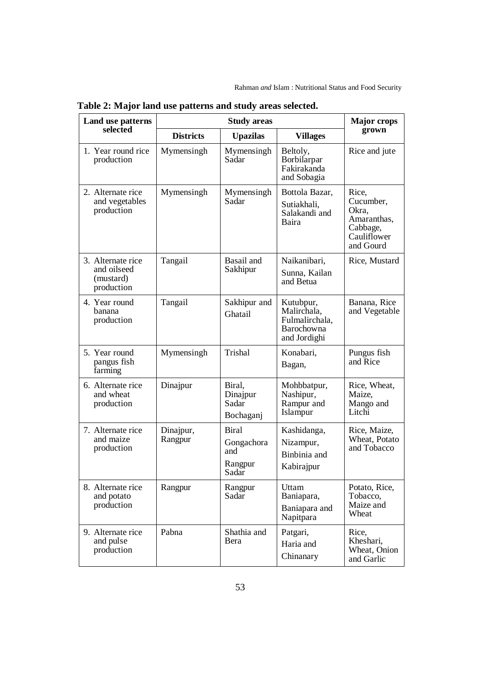| Land use patterns                                           | <b>Study areas</b>   |                                                       |                                                                          |                                                                                    |
|-------------------------------------------------------------|----------------------|-------------------------------------------------------|--------------------------------------------------------------------------|------------------------------------------------------------------------------------|
| selected                                                    | <b>Districts</b>     | <b>Upazilas</b>                                       | <b>Villages</b>                                                          | grown                                                                              |
| 1. Year round rice<br>production                            | Mymensingh           | Mymensingh<br>Sadar                                   | Beltoly,<br>Borbilarpar<br>Fakirakanda<br>and Sobagia                    | Rice and jute                                                                      |
| 2. Alternate rice<br>and vegetables<br>production           | Mymensingh           | Mymensingh<br>Sadar                                   | Bottola Bazar,<br>Sutiakhali,<br>Salakandi and<br>Baira                  | Rice,<br>Cucumber,<br>Okra,<br>Amaranthas,<br>Cabbage,<br>Cauliflower<br>and Gourd |
| 3. Alternate rice<br>and oilseed<br>(mustard)<br>production | Tangail              | Basail and<br>Sakhipur                                | Naikanibari,<br>Sunna, Kailan<br>and Betua                               | Rice, Mustard                                                                      |
| 4. Year round<br>banana<br>production                       | Tangail              | Sakhipur and<br>Ghatail                               | Kutubpur,<br>Malirchala,<br>Fulmalirchala,<br>Barochowna<br>and Jordighi | Banana, Rice<br>and Vegetable                                                      |
| 5. Year round<br>pangus fish<br>farming                     | Mymensingh           | Trishal                                               | Konabari,<br>Bagan,                                                      | Pungus fish<br>and Rice                                                            |
| 6. Alternate rice<br>and wheat<br>production                | Dinajpur             | Biral,<br>Dinajpur<br>Sadar<br>Bochaganj              | Mohbbatpur,<br>Nashipur,<br>Rampur and<br>Islampur                       | Rice, Wheat,<br>Maize,<br>Mango and<br>Litchi                                      |
| 7. Alternate rice<br>and maize<br>production                | Dinajpur,<br>Rangpur | <b>Biral</b><br>Gongachora<br>and<br>Rangpur<br>Sadar | Kashidanga,<br>Nizampur,<br>Binbinia and<br>Kabirajpur                   | Rice, Maize,<br>Wheat, Potato<br>and Tobacco                                       |
| 8. Alternate rice<br>and potato<br>production               | Rangpur              | Rangpur<br>Sadar                                      | Uttam<br>Baniapara,<br>Baniapara and<br>Napitpara                        | Potato, Rice,<br>Tobacco,<br>Maize and<br>Wheat                                    |
| 9. Alternate rice<br>and pulse<br>production                | Pabna                | Shathia and<br>Bera                                   | Patgari,<br>Haria and<br>Chinanary                                       | Rice,<br>Kheshari.<br>Wheat, Onion<br>and Garlic                                   |

**Table 2: Major land use patterns and study areas selected.**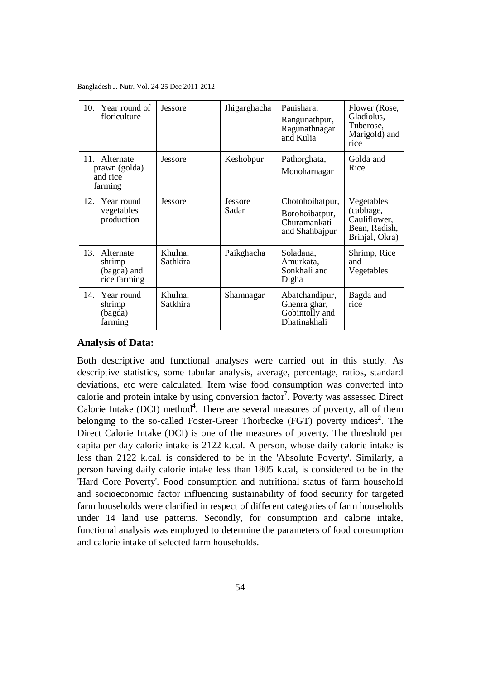Bangladesh J. Nutr. Vol. 24-25 Dec 2011-2012

| 10.<br>Year round of<br>floriculture                      | Jessore             | Jhigarghacha            | Panishara,<br>Rangunathpur,<br>Ragunathnagar<br>and Kulia           | Flower (Rose,<br>Gladiolus,<br>Tuberose,<br>Marigold) and<br>rice          |
|-----------------------------------------------------------|---------------------|-------------------------|---------------------------------------------------------------------|----------------------------------------------------------------------------|
| Alternate<br>11.<br>prawn (golda)<br>and rice<br>farming  | Jessore             | Keshobpur               | Pathorghata,<br>Monoharnagar                                        | Golda and<br>Rice                                                          |
| Year round<br>12.<br>vegetables<br>production             | <b>Jessore</b>      | <b>Jessore</b><br>Sadar | Chotohoibatpur,<br>Borohoibatpur,<br>Churamankati<br>and Shahbajpur | Vegetables<br>(cabbage,<br>Cauliflower,<br>Bean, Radish,<br>Brinjal, Okra) |
| 13.<br>Alternate<br>shrimp<br>(bagda) and<br>rice farming | Khulna,<br>Sathkira | Paikghacha              | Soladana,<br>Amurkata,<br>Sonkhali and<br>Digha                     | Shrimp, Rice<br>and<br>Vegetables                                          |
| 14.<br>Year round<br>shrimp<br>(bagda)<br>farming         | Khulna,<br>Satkhira | Shamnagar               | Abatchandipur,<br>Ghenra ghar,<br>Gobintolly and<br>Dhatinakhali    | Bagda and<br>rice                                                          |

# **Analysis of Data:**

Both descriptive and functional analyses were carried out in this study. As descriptive statistics, some tabular analysis, average, percentage, ratios, standard deviations, etc were calculated. Item wise food consumption was converted into calorie and protein intake by using conversion factor<sup>7</sup>. Poverty was assessed Direct Calorie Intake (DCI) method $4$ . There are several measures of poverty, all of them belonging to the so-called Foster-Greer Thorbecke (FGT) poverty indices<sup>2</sup>. The Direct Calorie Intake (DCI) is one of the measures of poverty. The threshold per capita per day calorie intake is 2122 k.cal. A person, whose daily calorie intake is less than 2122 k.cal. is considered to be in the 'Absolute Poverty'. Similarly, a person having daily calorie intake less than 1805 k.cal, is considered to be in the 'Hard Core Poverty'. Food consumption and nutritional status of farm household and socioeconomic factor influencing sustainability of food security for targeted farm households were clarified in respect of different categories of farm households under 14 land use patterns. Secondly, for consumption and calorie intake, functional analysis was employed to determine the parameters of food consumption and calorie intake of selected farm households.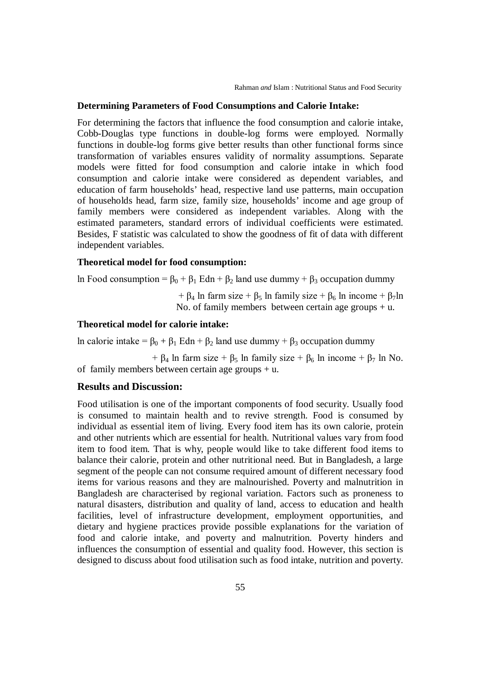#### **Determining Parameters of Food Consumptions and Calorie Intake:**

For determining the factors that influence the food consumption and calorie intake, Cobb-Douglas type functions in double-log forms were employed. Normally functions in double-log forms give better results than other functional forms since transformation of variables ensures validity of normality assumptions. Separate models were fitted for food consumption and calorie intake in which food consumption and calorie intake were considered as dependent variables, and education of farm households' head, respective land use patterns, main occupation of households head, farm size, family size, households' income and age group of family members were considered as independent variables. Along with the estimated parameters, standard errors of individual coefficients were estimated. Besides, F statistic was calculated to show the goodness of fit of data with different independent variables.

# **Theoretical model for food consumption:**

ln Food consumption =  $\beta_0 + \beta_1$  Edn +  $\beta_2$  land use dummy +  $\beta_3$  occupation dummy

+  $\beta_4$  ln farm size +  $\beta_5$  ln family size +  $\beta_6$  ln income +  $\beta_7$ ln No. of family members between certain age groups  $+u$ .

#### **Theoretical model for calorie intake:**

ln calorie intake =  $β_0 + β_1$  Edn +  $β_2$  land use dummy +  $β_3$  occupation dummy

+  $\beta_4$  ln farm size +  $\beta_5$  ln family size +  $\beta_6$  ln income +  $\beta_7$  ln No. of family members between certain age groups + u.

## **Results and Discussion:**

Food utilisation is one of the important components of food security. Usually food is consumed to maintain health and to revive strength. Food is consumed by individual as essential item of living. Every food item has its own calorie, protein and other nutrients which are essential for health. Nutritional values vary from food item to food item. That is why, people would like to take different food items to balance their calorie, protein and other nutritional need. But in Bangladesh, a large segment of the people can not consume required amount of different necessary food items for various reasons and they are malnourished. Poverty and malnutrition in Bangladesh are characterised by regional variation. Factors such as proneness to natural disasters, distribution and quality of land, access to education and health facilities, level of infrastructure development, employment opportunities, and dietary and hygiene practices provide possible explanations for the variation of food and calorie intake, and poverty and malnutrition. Poverty hinders and influences the consumption of essential and quality food. However, this section is designed to discuss about food utilisation such as food intake, nutrition and poverty.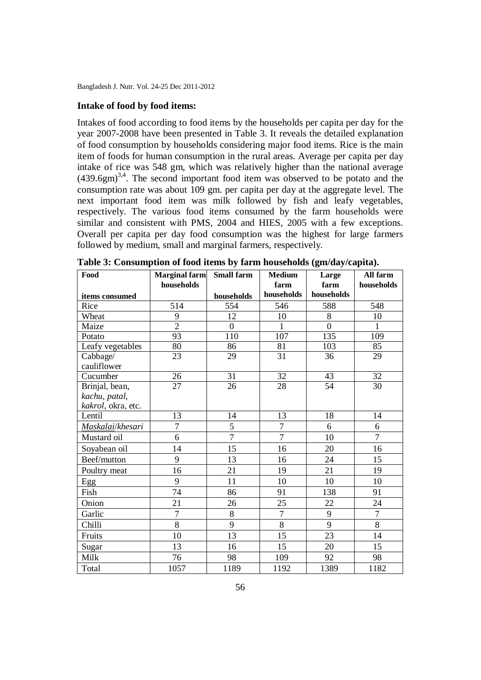#### **Intake of food by food items:**

Intakes of food according to food items by the households per capita per day for the year 2007-2008 have been presented in Table 3. It reveals the detailed explanation of food consumption by households considering major food items. Rice is the main item of foods for human consumption in the rural areas. Average per capita per day intake of rice was 548 gm, which was relatively higher than the national average  $(439.6gm)^{3,4}$ . The second important food item was observed to be potato and the consumption rate was about 109 gm. per capita per day at the aggregate level. The next important food item was milk followed by fish and leafy vegetables, respectively. The various food items consumed by the farm households were similar and consistent with PMS, 2004 and HIES, 2005 with a few exceptions. Overall per capita per day food consumption was the highest for large farmers followed by medium, small and marginal farmers, respectively.

| Food               | <b>Marginal farm</b> | <b>Small farm</b> | <b>Medium</b>   | Large           | All farm        |
|--------------------|----------------------|-------------------|-----------------|-----------------|-----------------|
|                    | households           |                   | farm            | farm            | households      |
| items consumed     |                      | households        | households      | households      |                 |
| Rice               | 514                  | 554               | 546             | 588             | 548             |
| Wheat              | 9                    | 12                | 10              | 8               | 10              |
| Maize              | $\overline{2}$       | $\overline{0}$    | $\mathbf{1}$    | $\overline{0}$  | $\mathbf{1}$    |
| Potato             | 93                   | 110               | 107             | 135             | 109             |
| Leafy vegetables   | 80                   | 86                | 81              | 103             | 85              |
| Cabbage/           | 23                   | 29                | 31              | 36              | 29              |
| cauliflower        |                      |                   |                 |                 |                 |
| Cucumber           | 26                   | 31                | 32              | $4\overline{3}$ | 32              |
| Brinjal, bean,     | $\overline{27}$      | $\overline{26}$   | $\overline{28}$ | 54              | $\overline{30}$ |
| kachu, patal,      |                      |                   |                 |                 |                 |
| kakrol, okra, etc. |                      |                   |                 |                 |                 |
| Lentil             | 13                   | 14                | 13              | 18              | 14              |
| Maskalai/khesari   | $\overline{7}$       | 5                 | $\overline{7}$  | 6               | 6               |
| Mustard oil        | 6                    | $\overline{7}$    | $\overline{7}$  | 10              | $\overline{7}$  |
| Soyabean oil       | 14                   | 15                | 16              | 20              | 16              |
| Beef/mutton        | 9                    | 13                | 16              | 24              | 15              |
| Poultry meat       | 16                   | 21                | 19              | 21              | 19              |
| Egg                | 9                    | 11                | 10              | 10              | 10              |
| Fish               | 74                   | 86                | 91              | 138             | 91              |
| Onion              | 21                   | 26                | 25              | 22              | 24              |
| Garlic             | $\overline{7}$       | $8\,$             | $\overline{7}$  | 9               | $\overline{7}$  |
| Chilli             | $\overline{8}$       | 9                 | $\overline{8}$  | 9               | 8               |
| Fruits             | 10                   | 13                | 15              | 23              | 14              |
| Sugar              | 13                   | 16                | 15              | 20              | 15              |
| Milk               | 76                   | 98                | 109             | 92              | 98              |
| Total              | 1057                 | 1189              | 1192            | 1389            | 1182            |

**Table 3: Consumption of food items by farm households (gm/day/capita).**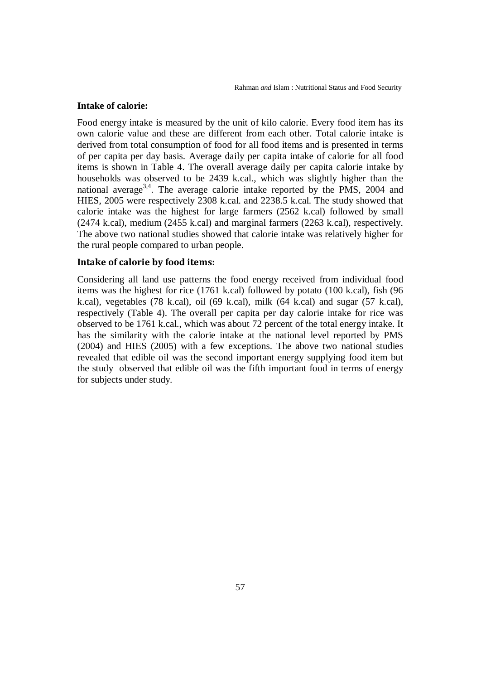#### **Intake of calorie:**

Food energy intake is measured by the unit of kilo calorie. Every food item has its own calorie value and these are different from each other. Total calorie intake is derived from total consumption of food for all food items and is presented in terms of per capita per day basis. Average daily per capita intake of calorie for all food items is shown in Table 4. The overall average daily per capita calorie intake by households was observed to be 2439 k.cal., which was slightly higher than the national average $3,4$ . The average calorie intake reported by the PMS, 2004 and HIES, 2005 were respectively 2308 k.cal. and 2238.5 k.cal. The study showed that calorie intake was the highest for large farmers (2562 k.cal) followed by small (2474 k.cal), medium (2455 k.cal) and marginal farmers (2263 k.cal), respectively. The above two national studies showed that calorie intake was relatively higher for the rural people compared to urban people.

#### **Intake of calorie by food items:**

Considering all land use patterns the food energy received from individual food items was the highest for rice (1761 k.cal) followed by potato (100 k.cal), fish (96 k.cal), vegetables (78 k.cal), oil (69 k.cal), milk (64 k.cal) and sugar (57 k.cal), respectively (Table 4). The overall per capita per day calorie intake for rice was observed to be 1761 k.cal., which was about 72 percent of the total energy intake. It has the similarity with the calorie intake at the national level reported by PMS (2004) and HIES (2005) with a few exceptions. The above two national studies revealed that edible oil was the second important energy supplying food item but the study observed that edible oil was the fifth important food in terms of energy for subjects under study.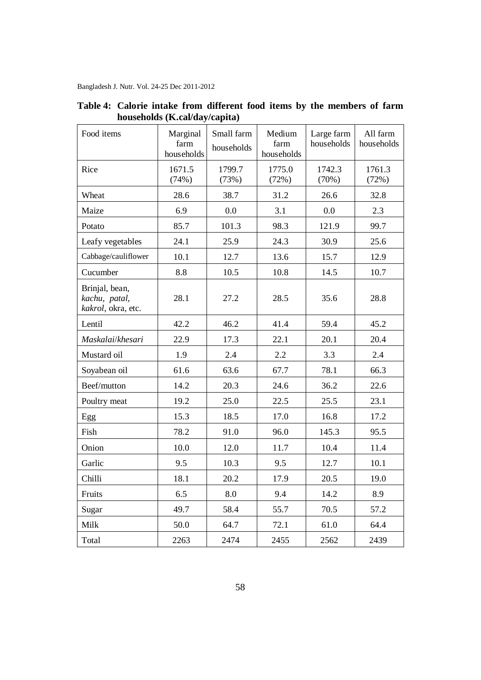| Food items                                            | Marginal<br>farm<br>households | Small farm<br>households | Medium<br>farm<br>households | Large farm<br>households | All farm<br>households |
|-------------------------------------------------------|--------------------------------|--------------------------|------------------------------|--------------------------|------------------------|
| Rice                                                  | 1671.5<br>(74%)                | 1799.7<br>(73%)          | 1775.0<br>(72%)              | 1742.3<br>(70%)          | 1761.3<br>(72%)        |
| Wheat                                                 | 28.6                           | 38.7                     | 31.2                         | 26.6                     | 32.8                   |
| Maize                                                 | 6.9                            | 0.0                      | 3.1                          | 0.0                      | 2.3                    |
| Potato                                                | 85.7                           | 101.3                    | 98.3                         | 121.9                    | 99.7                   |
| Leafy vegetables                                      | 24.1                           | 25.9                     | 24.3                         | 30.9                     | 25.6                   |
| Cabbage/cauliflower                                   | 10.1                           | 12.7                     | 13.6                         | 15.7                     | 12.9                   |
| Cucumber                                              | 8.8                            | 10.5                     | 10.8                         | 14.5                     | 10.7                   |
| Brinjal, bean,<br>kachu, patal,<br>kakrol, okra, etc. | 28.1                           | 27.2                     | 28.5                         | 35.6                     | 28.8                   |
| Lentil                                                | 42.2                           | 46.2                     | 41.4                         | 59.4                     | 45.2                   |
| Maskalai/khesari                                      | 22.9                           | 17.3                     | 22.1                         | 20.1                     | 20.4                   |
| Mustard oil                                           | 1.9                            | 2.4                      | 2.2                          | 3.3                      | 2.4                    |
| Soyabean oil                                          | 61.6                           | 63.6                     | 67.7                         | 78.1                     | 66.3                   |
| Beef/mutton                                           | 14.2                           | 20.3                     | 24.6                         | 36.2                     | 22.6                   |
| Poultry meat                                          | 19.2                           | 25.0                     | 22.5                         | 25.5                     | 23.1                   |
| Egg                                                   | 15.3                           | 18.5                     | 17.0                         | 16.8                     | 17.2                   |
| Fish                                                  | 78.2                           | 91.0                     | 96.0                         | 145.3                    | 95.5                   |
| Onion                                                 | 10.0                           | 12.0                     | 11.7                         | 10.4                     | 11.4                   |
| Garlic                                                | 9.5                            | 10.3                     | 9.5                          | 12.7                     | 10.1                   |
| Chilli                                                | 18.1                           | 20.2                     | 17.9                         | 20.5                     | 19.0                   |
| Fruits                                                | 6.5                            | 8.0                      | 9.4                          | 14.2                     | 8.9                    |
| Sugar                                                 | 49.7                           | 58.4                     | 55.7                         | 70.5                     | 57.2                   |
| Milk                                                  | 50.0                           | 64.7                     | 72.1                         | 61.0                     | 64.4                   |
| Total                                                 | 2263                           | 2474                     | 2455                         | 2562                     | 2439                   |

**Table 4: Calorie intake from different food items by the members of farm households (K.cal/day/capita)**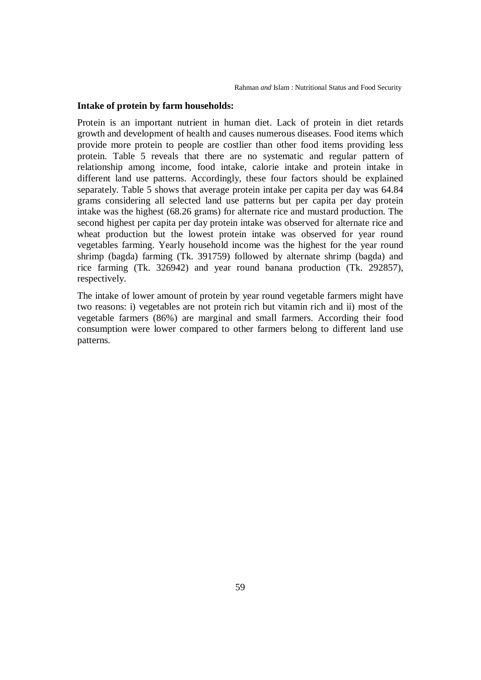#### **Intake of protein by farm households:**

Protein is an important nutrient in human diet. Lack of protein in diet retards growth and development of health and causes numerous diseases. Food items which provide more protein to people are costlier than other food items providing less protein. Table 5 reveals that there are no systematic and regular pattern of relationship among income, food intake, calorie intake and protein intake in different land use patterns. Accordingly, these four factors should be explained separately. Table 5 shows that average protein intake per capita per day was 64.84 grams considering all selected land use patterns but per capita per day protein intake was the highest (68.26 grams) for alternate rice and mustard production. The second highest per capita per day protein intake was observed for alternate rice and wheat production but the lowest protein intake was observed for year round vegetables farming. Yearly household income was the highest for the year round shrimp (bagda) farming (Tk. 391759) followed by alternate shrimp (bagda) and rice farming (Tk. 326942) and year round banana production (Tk. 292857), respectively.

The intake of lower amount of protein by year round vegetable farmers might have two reasons: i) vegetables are not protein rich but vitamin rich and ii) most of the vegetable farmers (86%) are marginal and small farmers. According their food consumption were lower compared to other farmers belong to different land use patterns.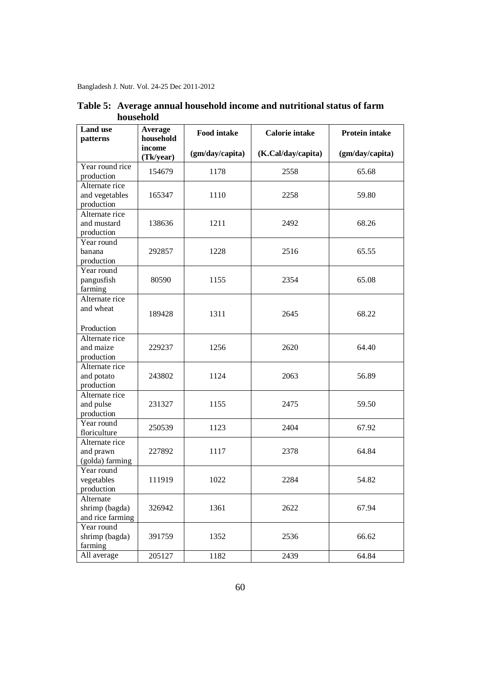Bangladesh J. Nutr. Vol. 24-25 Dec 2011-2012

| <b>Land</b> use<br>patterns                             | Average<br>household | <b>Food intake</b> | <b>Calorie intake</b> | <b>Protein intake</b> |  |
|---------------------------------------------------------|----------------------|--------------------|-----------------------|-----------------------|--|
|                                                         | income<br>(Tk/year)  | (gm/day/capita)    | (K.Cal/day/capita)    | (gm/day/capita)       |  |
| Year round rice<br>production                           | 154679               | 1178               | 2558                  | 65.68                 |  |
| Alternate rice<br>and vegetables<br>production          | 165347               | 1110               | 2258                  | 59.80                 |  |
| Alternate rice<br>and mustard<br>production             | 138636               | 1211               | 2492                  | 68.26                 |  |
| Year round<br>banana<br>production                      | 292857               | 1228               | 2516                  | 65.55                 |  |
| Year round<br>pangusfish<br>farming                     | 80590                | 1155               | 2354                  | 65.08                 |  |
| Alternate rice<br>and wheat                             | 189428               | 1311               | 2645                  | 68.22                 |  |
| Production<br>Alternate rice<br>and maize<br>production | 229237               | 1256               | 2620                  | 64.40                 |  |
| Alternate rice<br>and potato<br>production              | 243802               | 1124               | 2063                  | 56.89                 |  |
| Alternate rice<br>and pulse<br>production               | 231327               | 1155               | 2475                  | 59.50                 |  |
| Year round<br>floriculture                              | 250539               | 1123               | 2404                  | 67.92                 |  |
| Alternate rice<br>and prawn<br>(golda) farming          | 227892               | 1117               | 2378                  | 64.84                 |  |
| Year round<br>vegetables<br>production                  | 111919               | 1022               | 2284                  | 54.82                 |  |
| Alternate<br>shrimp (bagda)<br>and rice farming         | 326942               | 1361               | 2622                  | 67.94                 |  |
| Year round<br>shrimp (bagda)<br>farming                 | 391759               | 1352               | 2536                  | 66.62                 |  |
| All average                                             | 205127               | 1182               | 2439                  | 64.84                 |  |

**Table 5: Average annual household income and nutritional status of farm household**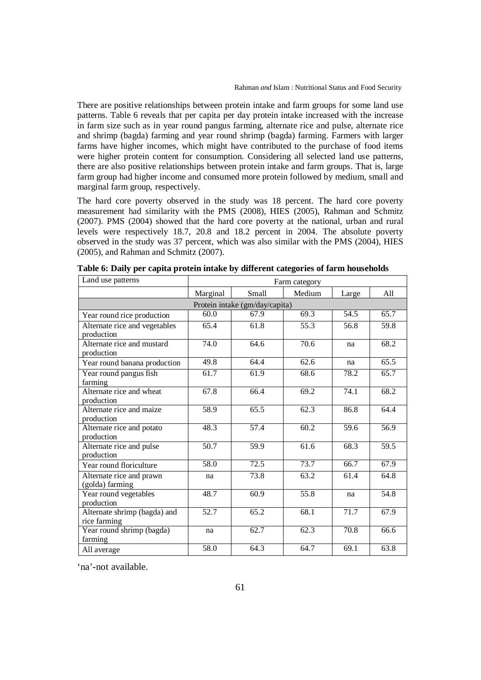There are positive relationships between protein intake and farm groups for some land use patterns. Table 6 reveals that per capita per day protein intake increased with the increase in farm size such as in year round pangus farming, alternate rice and pulse, alternate rice and shrimp (bagda) farming and year round shrimp (bagda) farming. Farmers with larger farms have higher incomes, which might have contributed to the purchase of food items were higher protein content for consumption. Considering all selected land use patterns, there are also positive relationships between protein intake and farm groups. That is, large farm group had higher income and consumed more protein followed by medium, small and marginal farm group, respectively.

The hard core poverty observed in the study was 18 percent. The hard core poverty measurement had similarity with the PMS (2008), HIES (2005), Rahman and Schmitz (2007). PMS (2004) showed that the hard core poverty at the national, urban and rural levels were respectively 18.7, 20.8 and 18.2 percent in 2004. The absolute poverty observed in the study was 37 percent, which was also similar with the PMS (2004), HIES (2005), and Rahman and Schmitz (2007).

| Land use patterns                            | Farm category                        |      |      |      |      |  |  |
|----------------------------------------------|--------------------------------------|------|------|------|------|--|--|
|                                              | Marginal<br>Medium<br>Small<br>Large |      |      |      |      |  |  |
| Protein intake (gm/day/capita)               |                                      |      |      |      |      |  |  |
| Year round rice production                   | 60.0                                 | 67.9 | 69.3 | 54.5 | 65.7 |  |  |
| Alternate rice and vegetables<br>production  | 65.4                                 | 61.8 | 55.3 | 56.8 | 59.8 |  |  |
| Alternate rice and mustard<br>production     | 74.0                                 | 64.6 | 70.6 | na   | 68.2 |  |  |
| Year round banana production                 | 49.8                                 | 64.4 | 62.6 | na   | 65.5 |  |  |
| Year round pangus fish<br>farming            | 61.7                                 | 61.9 | 68.6 | 78.2 | 65.7 |  |  |
| Alternate rice and wheat<br>production       | 67.8                                 | 66.4 | 69.2 | 74.1 | 68.2 |  |  |
| Alternate rice and maize<br>production       | 58.9                                 | 65.5 | 62.3 | 86.8 | 64.4 |  |  |
| Alternate rice and potato<br>production      | 48.3                                 | 57.4 | 60.2 | 59.6 | 56.9 |  |  |
| Alternate rice and pulse<br>production       | 50.7                                 | 59.9 | 61.6 | 68.3 | 59.5 |  |  |
| Year round floriculture                      | 58.0                                 | 72.5 | 73.7 | 66.7 | 67.9 |  |  |
| Alternate rice and prawn<br>(golda) farming  | na                                   | 73.8 | 63.2 | 61.4 | 64.8 |  |  |
| Year round vegetables<br>production          | 48.7                                 | 60.9 | 55.8 | na   | 54.8 |  |  |
| Alternate shrimp (bagda) and<br>rice farming | $\overline{52.7}$                    | 65.2 | 68.1 | 71.7 | 67.9 |  |  |
| Year round shrimp (bagda)<br>farming         | na                                   | 62.7 | 62.3 | 70.8 | 66.6 |  |  |
| All average                                  | 58.0                                 | 64.3 | 64.7 | 69.1 | 63.8 |  |  |

**Table 6: Daily per capita protein intake by different categories of farm households**

'na'-not available.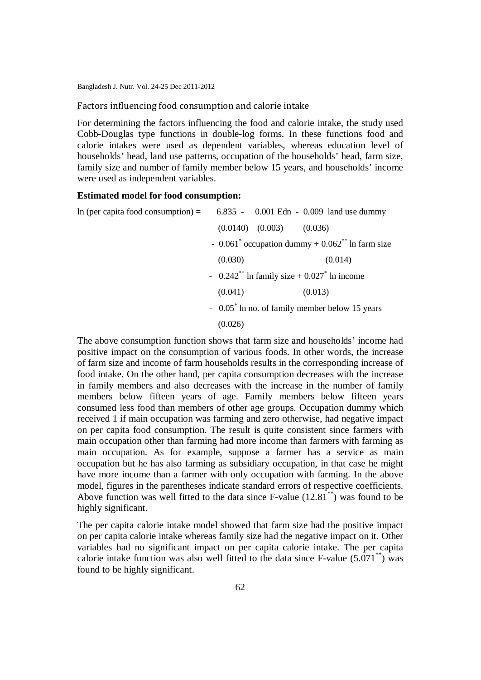Factors influencing food consumption and calorie intake

For determining the factors influencing the food and calorie intake, the study used Cobb-Douglas type functions in double-log forms. In these functions food and calorie intakes were used as dependent variables, whereas education level of households' head, land use patterns, occupation of the households' head, farm size, family size and number of family member below 15 years, and households' income were used as independent variables.

#### **Estimated model for food consumption:**

| In (per capita food consumption) = $6.835 - 0.001$ Edn - 0.009 land use dummy |         |                                |                                                          |  |
|-------------------------------------------------------------------------------|---------|--------------------------------|----------------------------------------------------------|--|
|                                                                               |         | $(0.0140)$ $(0.003)$ $(0.036)$ |                                                          |  |
|                                                                               |         |                                | - $0.061^*$ occupation dummy + $0.062^{**}$ ln farm size |  |
|                                                                               | (0.030) |                                | (0.014)                                                  |  |
|                                                                               |         |                                | - $0.242^{**}$ ln family size + $0.027^{*}$ ln income    |  |
|                                                                               | (0.041) |                                | (0.013)                                                  |  |
|                                                                               |         |                                | $-0.05$ n no. of family member below 15 years            |  |
|                                                                               | (0.026) |                                |                                                          |  |

The above consumption function shows that farm size and households' income had positive impact on the consumption of various foods. In other words, the increase of farm size and income of farm households results in the corresponding increase of food intake. On the other hand, per capita consumption decreases with the increase in family members and also decreases with the increase in the number of family members below fifteen years of age. Family members below fifteen years consumed less food than members of other age groups. Occupation dummy which received 1 if main occupation was farming and zero otherwise, had negative impact on per capita food consumption. The result is quite consistent since farmers with main occupation other than farming had more income than farmers with farming as main occupation. As for example, suppose a farmer has a service as main occupation but he has also farming as subsidiary occupation, in that case he might have more income than a farmer with only occupation with farming. In the above model, figures in the parentheses indicate standard errors of respective coefficients. Above function was well fitted to the data since  $F$ -value  $(12.81^{**})$  was found to be highly significant.

The per capita calorie intake model showed that farm size had the positive impact on per capita calorie intake whereas family size had the negative impact on it. Other variables had no significant impact on per capita calorie intake. The per capita calorie intake function was also well fitted to the data since  $F-value (5.071<sup>**</sup>)$  was found to be highly significant.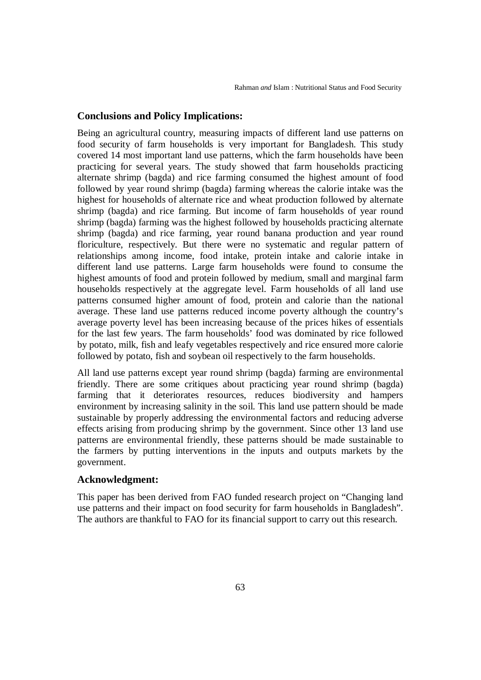# **Conclusions and Policy Implications:**

Being an agricultural country, measuring impacts of different land use patterns on food security of farm households is very important for Bangladesh. This study covered 14 most important land use patterns, which the farm households have been practicing for several years. The study showed that farm households practicing alternate shrimp (bagda) and rice farming consumed the highest amount of food followed by year round shrimp (bagda) farming whereas the calorie intake was the highest for households of alternate rice and wheat production followed by alternate shrimp (bagda) and rice farming. But income of farm households of year round shrimp (bagda) farming was the highest followed by households practicing alternate shrimp (bagda) and rice farming, year round banana production and year round floriculture, respectively. But there were no systematic and regular pattern of relationships among income, food intake, protein intake and calorie intake in different land use patterns. Large farm households were found to consume the highest amounts of food and protein followed by medium, small and marginal farm households respectively at the aggregate level. Farm households of all land use patterns consumed higher amount of food, protein and calorie than the national average. These land use patterns reduced income poverty although the country's average poverty level has been increasing because of the prices hikes of essentials for the last few years. The farm households' food was dominated by rice followed by potato, milk, fish and leafy vegetables respectively and rice ensured more calorie followed by potato, fish and soybean oil respectively to the farm households.

All land use patterns except year round shrimp (bagda) farming are environmental friendly. There are some critiques about practicing year round shrimp (bagda) farming that it deteriorates resources, reduces biodiversity and hampers environment by increasing salinity in the soil. This land use pattern should be made sustainable by properly addressing the environmental factors and reducing adverse effects arising from producing shrimp by the government. Since other 13 land use patterns are environmental friendly, these patterns should be made sustainable to the farmers by putting interventions in the inputs and outputs markets by the government.

#### **Acknowledgment:**

This paper has been derived from FAO funded research project on "Changing land use patterns and their impact on food security for farm households in Bangladesh". The authors are thankful to FAO for its financial support to carry out this research.